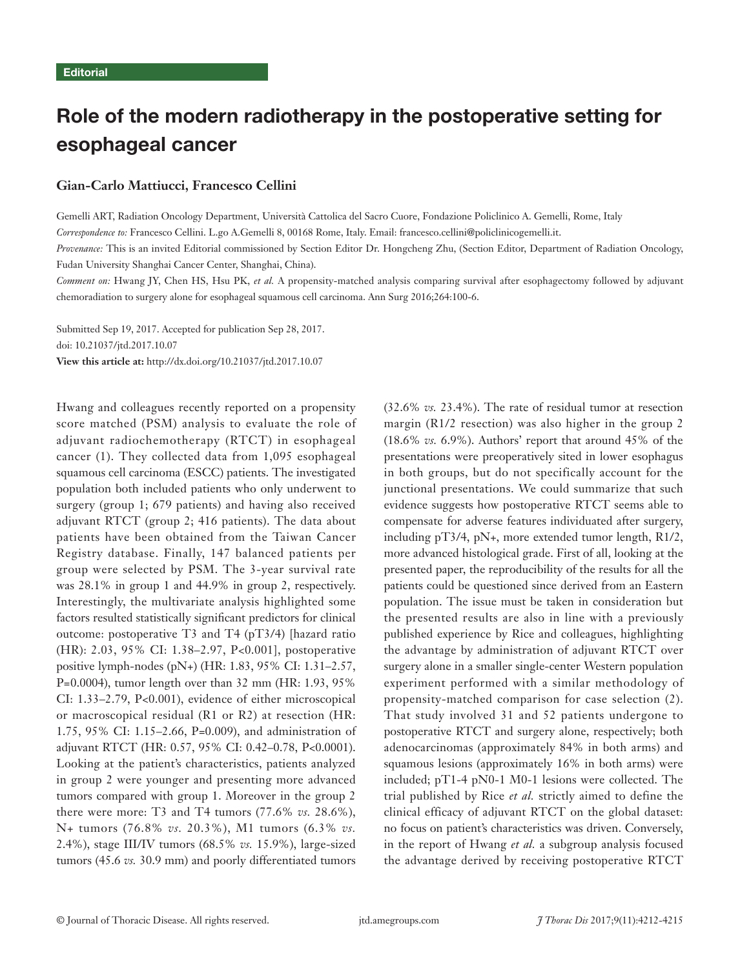# Role of the modern radiotherapy in the postoperative setting for esophageal cancer

## **Gian-Carlo Mattiucci, Francesco Cellini**

Gemelli ART, Radiation Oncology Department, Università Cattolica del Sacro Cuore, Fondazione Policlinico A. Gemelli, Rome, Italy *Correspondence to:* Francesco Cellini. L.go A.Gemelli 8, 00168 Rome, Italy. Email: francesco.cellini@policlinicogemelli.it.

*Provenance:* This is an invited Editorial commissioned by Section Editor Dr. Hongcheng Zhu, (Section Editor, Department of Radiation Oncology, Fudan University Shanghai Cancer Center, Shanghai, China).

*Comment on:* Hwang JY, Chen HS, Hsu PK, *et al.* A propensity-matched analysis comparing survival after esophagectomy followed by adjuvant chemoradiation to surgery alone for esophageal squamous cell carcinoma. Ann Surg 2016;264:100-6.

Submitted Sep 19, 2017. Accepted for publication Sep 28, 2017. doi: 10.21037/jtd.2017.10.07 **View this article at:** http://dx.doi.org/10.21037/jtd.2017.10.07

Hwang and colleagues recently reported on a propensity score matched (PSM) analysis to evaluate the role of adjuvant radiochemotherapy (RTCT) in esophageal cancer (1). They collected data from 1,095 esophageal squamous cell carcinoma (ESCC) patients. The investigated population both included patients who only underwent to surgery (group 1; 679 patients) and having also received adjuvant RTCT (group 2; 416 patients). The data about patients have been obtained from the Taiwan Cancer Registry database. Finally, 147 balanced patients per group were selected by PSM. The 3-year survival rate was 28.1% in group 1 and 44.9% in group 2, respectively. Interestingly, the multivariate analysis highlighted some factors resulted statistically significant predictors for clinical outcome: postoperative T3 and T4 (pT3/4) [hazard ratio (HR): 2.03, 95% CI: 1.38–2.97, P<0.001], postoperative positive lymph-nodes (pN+) (HR: 1.83, 95% CI: 1.31–2.57, P=0.0004), tumor length over than 32 mm (HR: 1.93, 95% CI: 1.33–2.79, P<0.001), evidence of either microscopical or macroscopical residual (R1 or R2) at resection (HR: 1.75, 95% CI: 1.15–2.66, P=0.009), and administration of adjuvant RTCT (HR: 0.57, 95% CI: 0.42–0.78, P<0.0001). Looking at the patient's characteristics, patients analyzed in group 2 were younger and presenting more advanced tumors compared with group 1. Moreover in the group 2 there were more: T3 and T4 tumors (77.6% *vs.* 28.6%), N+ tumors (76.8% *vs.* 20.3%), M1 tumors (6.3% *vs.* 2.4%), stage III/IV tumors (68.5% *vs.* 15.9%), large-sized tumors (45.6 *vs.* 30.9 mm) and poorly differentiated tumors

(32.6% *vs.* 23.4%). The rate of residual tumor at resection margin (R1/2 resection) was also higher in the group 2 (18.6% *vs.* 6.9%). Authors' report that around 45% of the presentations were preoperatively sited in lower esophagus in both groups, but do not specifically account for the junctional presentations. We could summarize that such evidence suggests how postoperative RTCT seems able to compensate for adverse features individuated after surgery, including pT3/4, pN+, more extended tumor length, R1/2, more advanced histological grade. First of all, looking at the presented paper, the reproducibility of the results for all the patients could be questioned since derived from an Eastern population. The issue must be taken in consideration but the presented results are also in line with a previously published experience by Rice and colleagues, highlighting the advantage by administration of adjuvant RTCT over surgery alone in a smaller single-center Western population experiment performed with a similar methodology of propensity-matched comparison for case selection (2). That study involved 31 and 52 patients undergone to postoperative RTCT and surgery alone, respectively; both adenocarcinomas (approximately 84% in both arms) and squamous lesions (approximately 16% in both arms) were included; pT1-4 pN0-1 M0-1 lesions were collected. The trial published by Rice *et al.* strictly aimed to define the clinical efficacy of adjuvant RTCT on the global dataset: no focus on patient's characteristics was driven. Conversely, in the report of Hwang *et al.* a subgroup analysis focused the advantage derived by receiving postoperative RTCT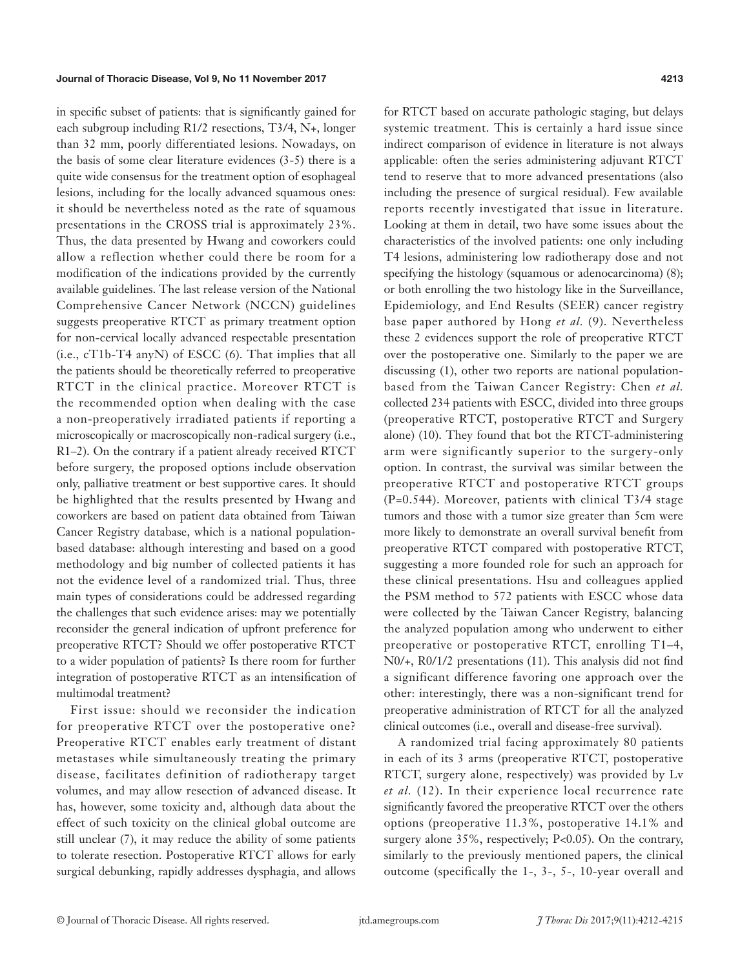#### Journal of Thoracic Disease, Vol 9, No 11 November 2017 4213

in specific subset of patients: that is significantly gained for each subgroup including R1/2 resections, T3/4, N+, longer than 32 mm, poorly differentiated lesions. Nowadays, on the basis of some clear literature evidences (3-5) there is a quite wide consensus for the treatment option of esophageal lesions, including for the locally advanced squamous ones: it should be nevertheless noted as the rate of squamous presentations in the CROSS trial is approximately 23%. Thus, the data presented by Hwang and coworkers could allow a reflection whether could there be room for a modification of the indications provided by the currently available guidelines. The last release version of the National Comprehensive Cancer Network (NCCN) guidelines suggests preoperative RTCT as primary treatment option for non-cervical locally advanced respectable presentation (i.e., cT1b-T4 anyN) of ESCC (6). That implies that all the patients should be theoretically referred to preoperative RTCT in the clinical practice. Moreover RTCT is the recommended option when dealing with the case a non-preoperatively irradiated patients if reporting a microscopically or macroscopically non-radical surgery (i.e., R1–2). On the contrary if a patient already received RTCT before surgery, the proposed options include observation only, palliative treatment or best supportive cares. It should be highlighted that the results presented by Hwang and coworkers are based on patient data obtained from Taiwan Cancer Registry database, which is a national populationbased database: although interesting and based on a good methodology and big number of collected patients it has not the evidence level of a randomized trial. Thus, three main types of considerations could be addressed regarding the challenges that such evidence arises: may we potentially reconsider the general indication of upfront preference for preoperative RTCT? Should we offer postoperative RTCT to a wider population of patients? Is there room for further integration of postoperative RTCT as an intensification of multimodal treatment?

First issue: should we reconsider the indication for preoperative RTCT over the postoperative one? Preoperative RTCT enables early treatment of distant metastases while simultaneously treating the primary disease, facilitates definition of radiotherapy target volumes, and may allow resection of advanced disease. It has, however, some toxicity and, although data about the effect of such toxicity on the clinical global outcome are still unclear (7), it may reduce the ability of some patients to tolerate resection. Postoperative RTCT allows for early surgical debunking, rapidly addresses dysphagia, and allows

for RTCT based on accurate pathologic staging, but delays systemic treatment. This is certainly a hard issue since indirect comparison of evidence in literature is not always applicable: often the series administering adjuvant RTCT tend to reserve that to more advanced presentations (also including the presence of surgical residual). Few available reports recently investigated that issue in literature. Looking at them in detail, two have some issues about the characteristics of the involved patients: one only including T4 lesions, administering low radiotherapy dose and not specifying the histology (squamous or adenocarcinoma)  $(8)$ ; or both enrolling the two histology like in the Surveillance, Epidemiology, and End Results (SEER) cancer registry base paper authored by Hong *et al.* (9). Nevertheless these 2 evidences support the role of preoperative RTCT over the postoperative one. Similarly to the paper we are discussing (1), other two reports are national populationbased from the Taiwan Cancer Registry: Chen *et al.* collected 234 patients with ESCC, divided into three groups (preoperative RTCT, postoperative RTCT and Surgery alone) (10). They found that bot the RTCT-administering arm were significantly superior to the surgery-only option. In contrast, the survival was similar between the preoperative RTCT and postoperative RTCT groups (P=0.544). Moreover, patients with clinical T3/4 stage tumors and those with a tumor size greater than 5cm were more likely to demonstrate an overall survival benefit from preoperative RTCT compared with postoperative RTCT, suggesting a more founded role for such an approach for these clinical presentations. Hsu and colleagues applied the PSM method to 572 patients with ESCC whose data were collected by the Taiwan Cancer Registry, balancing the analyzed population among who underwent to either preoperative or postoperative RTCT, enrolling T1–4, N0/+, R0/1/2 presentations (11). This analysis did not find a significant difference favoring one approach over the other: interestingly, there was a non-significant trend for preoperative administration of RTCT for all the analyzed clinical outcomes (i.e., overall and disease-free survival).

A randomized trial facing approximately 80 patients in each of its 3 arms (preoperative RTCT, postoperative RTCT, surgery alone, respectively) was provided by Lv *et al.* (12). In their experience local recurrence rate significantly favored the preoperative RTCT over the others options (preoperative 11.3%, postoperative 14.1% and surgery alone 35%, respectively; P<0.05). On the contrary, similarly to the previously mentioned papers, the clinical outcome (specifically the 1-, 3-, 5-, 10-year overall and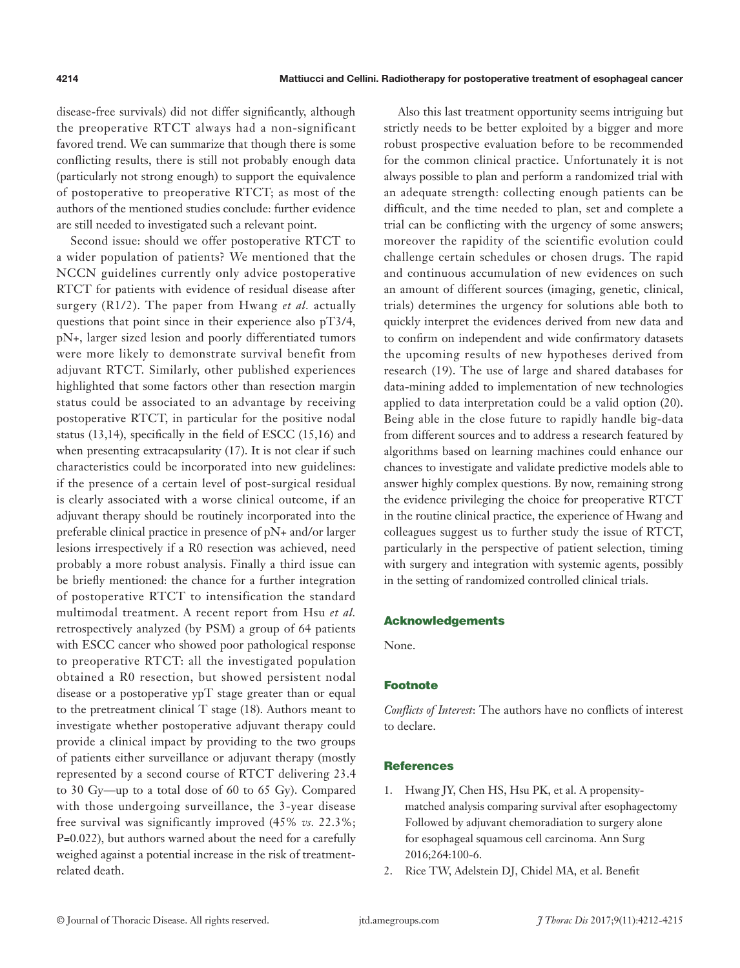disease-free survivals) did not differ significantly, although the preoperative RTCT always had a non-significant favored trend. We can summarize that though there is some conflicting results, there is still not probably enough data (particularly not strong enough) to support the equivalence of postoperative to preoperative RTCT; as most of the authors of the mentioned studies conclude: further evidence are still needed to investigated such a relevant point.

Second issue: should we offer postoperative RTCT to a wider population of patients? We mentioned that the NCCN guidelines currently only advice postoperative RTCT for patients with evidence of residual disease after surgery (R1/2). The paper from Hwang *et al.* actually questions that point since in their experience also pT3/4, pN+, larger sized lesion and poorly differentiated tumors were more likely to demonstrate survival benefit from adjuvant RTCT. Similarly, other published experiences highlighted that some factors other than resection margin status could be associated to an advantage by receiving postoperative RTCT, in particular for the positive nodal status (13,14), specifically in the field of ESCC (15,16) and when presenting extracapsularity (17). It is not clear if such characteristics could be incorporated into new guidelines: if the presence of a certain level of post-surgical residual is clearly associated with a worse clinical outcome, if an adjuvant therapy should be routinely incorporated into the preferable clinical practice in presence of pN+ and/or larger lesions irrespectively if a R0 resection was achieved, need probably a more robust analysis. Finally a third issue can be briefly mentioned: the chance for a further integration of postoperative RTCT to intensification the standard multimodal treatment. A recent report from Hsu *et al.* retrospectively analyzed (by PSM) a group of 64 patients with ESCC cancer who showed poor pathological response to preoperative RTCT: all the investigated population obtained a R0 resection, but showed persistent nodal disease or a postoperative ypT stage greater than or equal to the pretreatment clinical T stage (18). Authors meant to investigate whether postoperative adjuvant therapy could provide a clinical impact by providing to the two groups of patients either surveillance or adjuvant therapy (mostly represented by a second course of RTCT delivering 23.4 to 30 Gy—up to a total dose of 60 to 65 Gy). Compared with those undergoing surveillance, the 3-year disease free survival was significantly improved (45% *vs.* 22.3%; P=0.022), but authors warned about the need for a carefully weighed against a potential increase in the risk of treatmentrelated death.

Also this last treatment opportunity seems intriguing but strictly needs to be better exploited by a bigger and more robust prospective evaluation before to be recommended for the common clinical practice. Unfortunately it is not always possible to plan and perform a randomized trial with an adequate strength: collecting enough patients can be difficult, and the time needed to plan, set and complete a trial can be conflicting with the urgency of some answers; moreover the rapidity of the scientific evolution could challenge certain schedules or chosen drugs. The rapid and continuous accumulation of new evidences on such an amount of different sources (imaging, genetic, clinical, trials) determines the urgency for solutions able both to quickly interpret the evidences derived from new data and to confirm on independent and wide confirmatory datasets the upcoming results of new hypotheses derived from research (19). The use of large and shared databases for data-mining added to implementation of new technologies applied to data interpretation could be a valid option (20). Being able in the close future to rapidly handle big-data from different sources and to address a research featured by algorithms based on learning machines could enhance our chances to investigate and validate predictive models able to answer highly complex questions. By now, remaining strong the evidence privileging the choice for preoperative RTCT in the routine clinical practice, the experience of Hwang and colleagues suggest us to further study the issue of RTCT, particularly in the perspective of patient selection, timing with surgery and integration with systemic agents, possibly in the setting of randomized controlled clinical trials.

#### Acknowledgements

None.

## Footnote

*Conflicts of Interest*: The authors have no conflicts of interest to declare.

#### **References**

- 1. Hwang JY, Chen HS, Hsu PK, et al. A propensitymatched analysis comparing survival after esophagectomy Followed by adjuvant chemoradiation to surgery alone for esophageal squamous cell carcinoma. Ann Surg 2016;264:100-6.
- 2. Rice TW, Adelstein DJ, Chidel MA, et al. Benefit